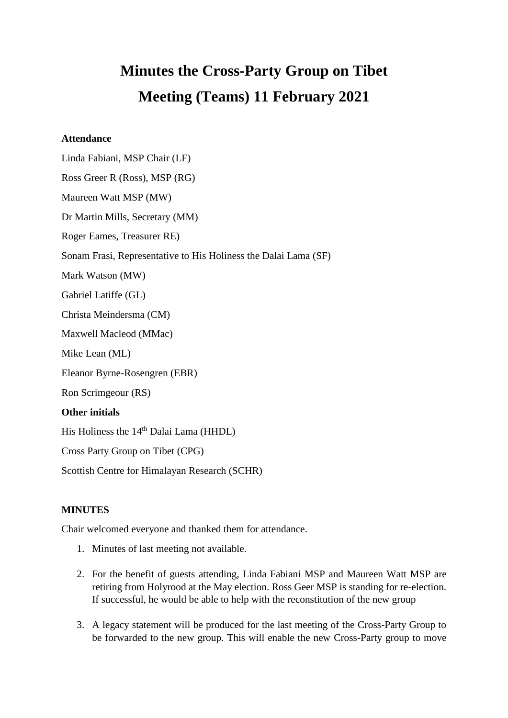# **Minutes the Cross-Party Group on Tibet Meeting (Teams) 11 February 2021**

#### **Attendance**

Linda Fabiani, MSP Chair (LF) Ross Greer R (Ross), MSP (RG) Maureen Watt MSP (MW) Dr Martin Mills, Secretary (MM) Roger Eames, Treasurer RE) Sonam Frasi, Representative to His Holiness the Dalai Lama (SF) Mark Watson (MW) Gabriel Latiffe (GL) Christa Meindersma (CM) Maxwell Macleod (MMac) Mike Lean (ML) Eleanor Byrne-Rosengren (EBR) Ron Scrimgeour (RS) **Other initials**  His Holiness the 14<sup>th</sup> Dalai Lama (HHDL) Cross Party Group on Tibet (CPG) Scottish Centre for Himalayan Research (SCHR)

#### **MINUTES**

Chair welcomed everyone and thanked them for attendance.

- 1. Minutes of last meeting not available.
- 2. For the benefit of guests attending, Linda Fabiani MSP and Maureen Watt MSP are retiring from Holyrood at the May election. Ross Geer MSP is standing for re-election. If successful, he would be able to help with the reconstitution of the new group
- 3. A legacy statement will be produced for the last meeting of the Cross-Party Group to be forwarded to the new group. This will enable the new Cross-Party group to move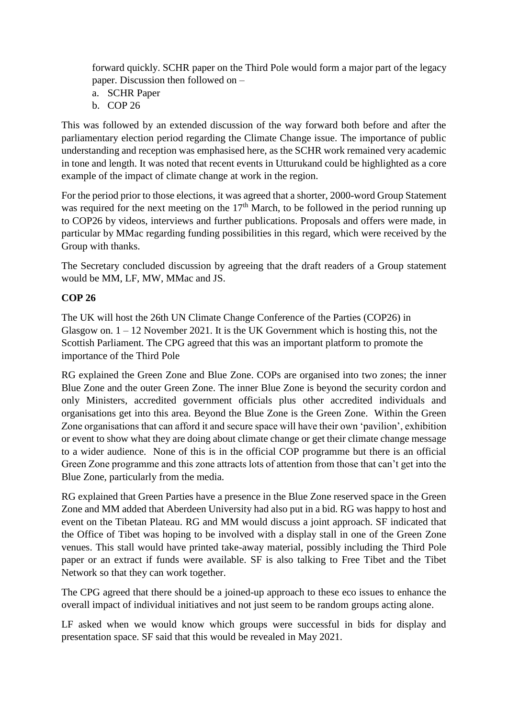forward quickly. SCHR paper on the Third Pole would form a major part of the legacy paper. Discussion then followed on –

- a. SCHR Paper
- b. COP 26

This was followed by an extended discussion of the way forward both before and after the parliamentary election period regarding the Climate Change issue. The importance of public understanding and reception was emphasised here, as the SCHR work remained very academic in tone and length. It was noted that recent events in Utturukand could be highlighted as a core example of the impact of climate change at work in the region.

For the period prior to those elections, it was agreed that a shorter, 2000-word Group Statement was required for the next meeting on the  $17<sup>th</sup>$  March, to be followed in the period running up to COP26 by videos, interviews and further publications. Proposals and offers were made, in particular by MMac regarding funding possibilities in this regard, which were received by the Group with thanks.

The Secretary concluded discussion by agreeing that the draft readers of a Group statement would be MM, LF, MW, MMac and JS.

## **COP 26**

The UK will host the 26th UN Climate Change Conference of the Parties (COP26) in Glasgow on.  $1 - 12$  November 2021. It is the UK Government which is hosting this, not the Scottish Parliament. The CPG agreed that this was an important platform to promote the importance of the Third Pole

RG explained the Green Zone and Blue Zone. COPs are organised into two zones; the inner Blue Zone and the outer Green Zone. The inner Blue Zone is beyond the security cordon and only Ministers, accredited government officials plus other accredited individuals and organisations get into this area. Beyond the Blue Zone is the Green Zone. Within the Green Zone organisations that can afford it and secure space will have their own 'pavilion', exhibition or event to show what they are doing about climate change or get their climate change message to a wider audience. None of this is in the official COP programme but there is an official Green Zone programme and this zone attracts lots of attention from those that can't get into the Blue Zone, particularly from the media.

RG explained that Green Parties have a presence in the Blue Zone reserved space in the Green Zone and MM added that Aberdeen University had also put in a bid. RG was happy to host and event on the Tibetan Plateau. RG and MM would discuss a joint approach. SF indicated that the Office of Tibet was hoping to be involved with a display stall in one of the Green Zone venues. This stall would have printed take-away material, possibly including the Third Pole paper or an extract if funds were available. SF is also talking to Free Tibet and the Tibet Network so that they can work together.

The CPG agreed that there should be a joined-up approach to these eco issues to enhance the overall impact of individual initiatives and not just seem to be random groups acting alone.

LF asked when we would know which groups were successful in bids for display and presentation space. SF said that this would be revealed in May 2021.